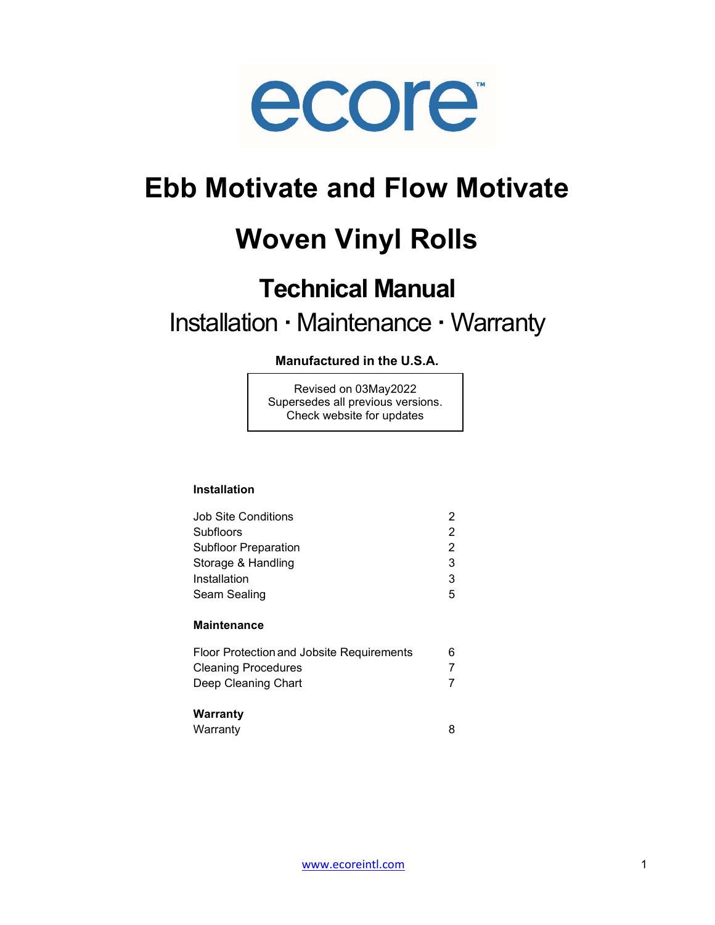

## Ebb Motivate and Flow Motivate

# Woven Vinyl Rolls

## Technical Manual

## Installation · Maintenance · Warranty

## Manufactured in the U.S.A.

Revised on 03May2022 Supersedes all previous versions. Check website for updates

## Installation

| Job Site Conditions                       | 2 |
|-------------------------------------------|---|
| Subfloors                                 | 2 |
| <b>Subfloor Preparation</b>               | 2 |
| Storage & Handling                        | 3 |
| Installation                              | 3 |
| Seam Sealing                              | 5 |
| <b>Maintenance</b>                        |   |
| Floor Protection and Jobsite Requirements | 6 |
| <b>Cleaning Procedures</b>                |   |
| Deep Cleaning Chart                       |   |
| Warranty                                  |   |
| Warranty                                  | 8 |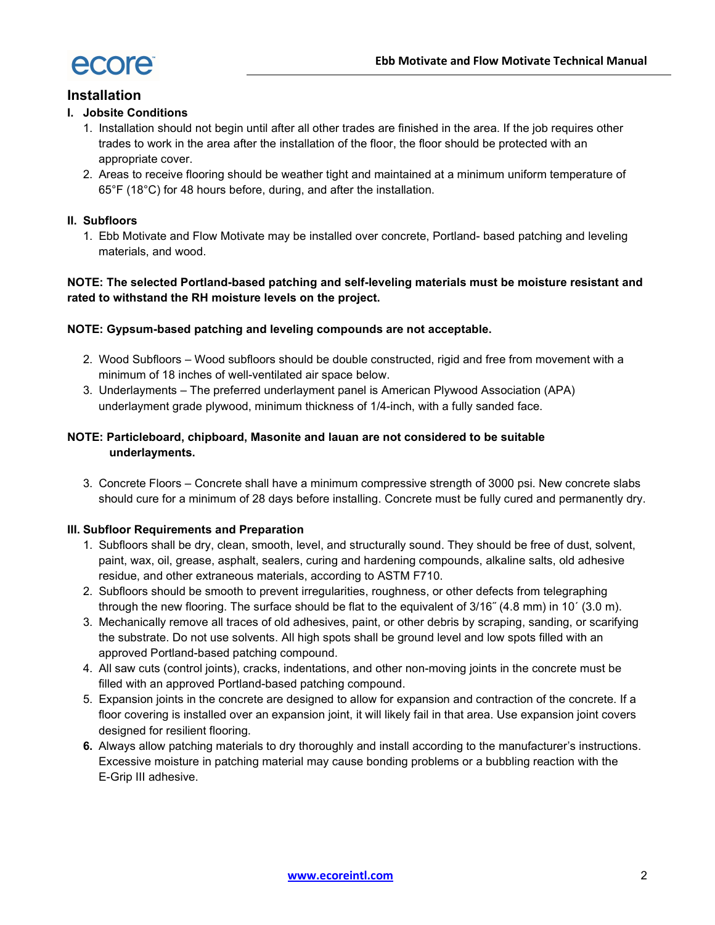

## Installation

## I. Jobsite Conditions

- 1. Installation should not begin until after all other trades are finished in the area. If the job requires other trades to work in the area after the installation of the floor, the floor should be protected with an appropriate cover.
- 2. Areas to receive flooring should be weather tight and maintained at a minimum uniform temperature of 65°F (18°C) for 48 hours before, during, and after the installation.

### II. Subfloors

1. Ebb Motivate and Flow Motivate may be installed over concrete, Portland- based patching and leveling materials, and wood.

## NOTE: The selected Portland-based patching and self-leveling materials must be moisture resistant and rated to withstand the RH moisture levels on the project.

#### NOTE: Gypsum-based patching and leveling compounds are not acceptable.

- 2. Wood Subfloors Wood subfloors should be double constructed, rigid and free from movement with a minimum of 18 inches of well-ventilated air space below.
- 3. Underlayments The preferred underlayment panel is American Plywood Association (APA) underlayment grade plywood, minimum thickness of 1/4-inch, with a fully sanded face.

## NOTE: Particleboard, chipboard, Masonite and lauan are not considered to be suitable underlayments.

3. Concrete Floors – Concrete shall have a minimum compressive strength of 3000 psi. New concrete slabs should cure for a minimum of 28 days before installing. Concrete must be fully cured and permanently dry.

#### III. Subfloor Requirements and Preparation

- 1. Subfloors shall be dry, clean, smooth, level, and structurally sound. They should be free of dust, solvent, paint, wax, oil, grease, asphalt, sealers, curing and hardening compounds, alkaline salts, old adhesive residue, and other extraneous materials, according to ASTM F710.
- 2. Subfloors should be smooth to prevent irregularities, roughness, or other defects from telegraphing through the new flooring. The surface should be flat to the equivalent of 3/16˝ (4.8 mm) in 10´ (3.0 m).
- 3. Mechanically remove all traces of old adhesives, paint, or other debris by scraping, sanding, or scarifying the substrate. Do not use solvents. All high spots shall be ground level and low spots filled with an approved Portland-based patching compound.
- 4. All saw cuts (control joints), cracks, indentations, and other non-moving joints in the concrete must be filled with an approved Portland-based patching compound.
- 5. Expansion joints in the concrete are designed to allow for expansion and contraction of the concrete. If a floor covering is installed over an expansion joint, it will likely fail in that area. Use expansion joint covers designed for resilient flooring.
- 6. Always allow patching materials to dry thoroughly and install according to the manufacturer's instructions. Excessive moisture in patching material may cause bonding problems or a bubbling reaction with the E-Grip III adhesive.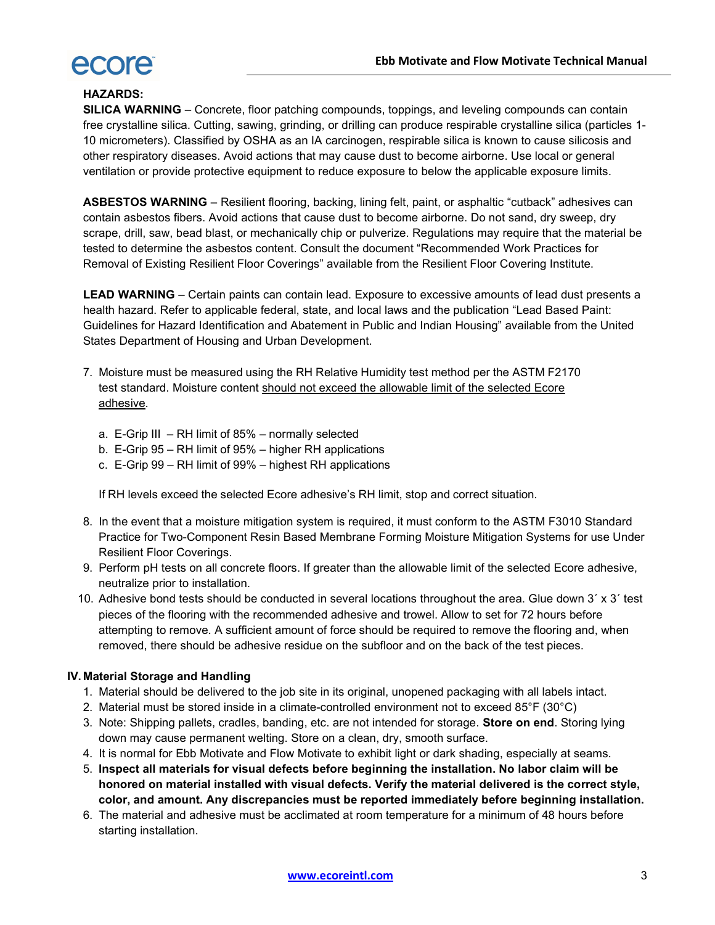

## HAZARDS:

SILICA WARNING - Concrete, floor patching compounds, toppings, and leveling compounds can contain free crystalline silica. Cutting, sawing, grinding, or drilling can produce respirable crystalline silica (particles 1- 10 micrometers). Classified by OSHA as an IA carcinogen, respirable silica is known to cause silicosis and other respiratory diseases. Avoid actions that may cause dust to become airborne. Use local or general ventilation or provide protective equipment to reduce exposure to below the applicable exposure limits.

ASBESTOS WARNING – Resilient flooring, backing, lining felt, paint, or asphaltic "cutback" adhesives can contain asbestos fibers. Avoid actions that cause dust to become airborne. Do not sand, dry sweep, dry scrape, drill, saw, bead blast, or mechanically chip or pulverize. Regulations may require that the material be tested to determine the asbestos content. Consult the document "Recommended Work Practices for Removal of Existing Resilient Floor Coverings" available from the Resilient Floor Covering Institute.

LEAD WARNING – Certain paints can contain lead. Exposure to excessive amounts of lead dust presents a health hazard. Refer to applicable federal, state, and local laws and the publication "Lead Based Paint: Guidelines for Hazard Identification and Abatement in Public and Indian Housing" available from the United States Department of Housing and Urban Development.

- 7. Moisture must be measured using the RH Relative Humidity test method per the ASTM F2170 test standard. Moisture content should not exceed the allowable limit of the selected Ecore adhesive.
	- a. E-Grip III RH limit of 85% normally selected
	- b. E-Grip 95 RH limit of 95% higher RH applications
	- c. E-Grip 99 RH limit of 99% highest RH applications

If RH levels exceed the selected Ecore adhesive's RH limit, stop and correct situation.

- 8. In the event that a moisture mitigation system is required, it must conform to the ASTM F3010 Standard Practice for Two-Component Resin Based Membrane Forming Moisture Mitigation Systems for use Under Resilient Floor Coverings.
- 9. Perform pH tests on all concrete floors. If greater than the allowable limit of the selected Ecore adhesive, neutralize prior to installation.
- 10. Adhesive bond tests should be conducted in several locations throughout the area. Glue down 3´ x 3´ test pieces of the flooring with the recommended adhesive and trowel. Allow to set for 72 hours before attempting to remove. A sufficient amount of force should be required to remove the flooring and, when removed, there should be adhesive residue on the subfloor and on the back of the test pieces.

## IV. Material Storage and Handling

- 1. Material should be delivered to the job site in its original, unopened packaging with all labels intact.
- 2. Material must be stored inside in a climate-controlled environment not to exceed 85°F (30°C)
- 3. Note: Shipping pallets, cradles, banding, etc. are not intended for storage. Store on end. Storing lying down may cause permanent welting. Store on a clean, dry, smooth surface.
- 4. It is normal for Ebb Motivate and Flow Motivate to exhibit light or dark shading, especially at seams.
- 5. Inspect all materials for visual defects before beginning the installation. No labor claim will be honored on material installed with visual defects. Verify the material delivered is the correct style, color, and amount. Any discrepancies must be reported immediately before beginning installation.
- 6. The material and adhesive must be acclimated at room temperature for a minimum of 48 hours before starting installation.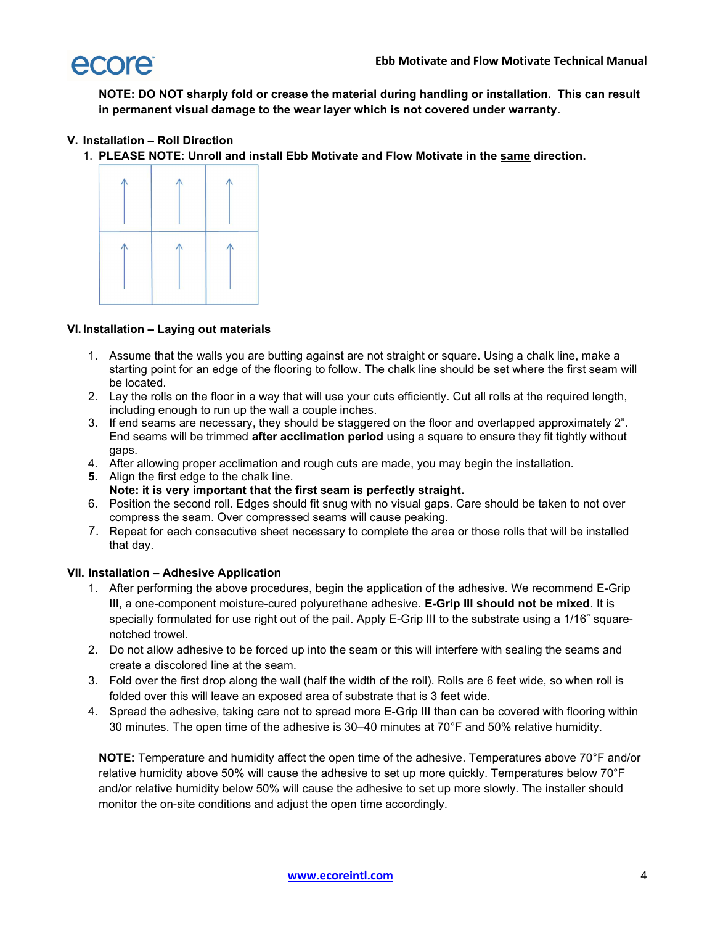

NOTE: DO NOT sharply fold or crease the material during handling or installation. This can result in permanent visual damage to the wear layer which is not covered under warranty.

## V. Installation – Roll Direction

1. PLEASE NOTE: Unroll and install Ebb Motivate and Flow Motivate in the same direction.



### VI. Installation – Laying out materials

- 1. Assume that the walls you are butting against are not straight or square. Using a chalk line, make a starting point for an edge of the flooring to follow. The chalk line should be set where the first seam will be located.
- 2. Lay the rolls on the floor in a way that will use your cuts efficiently. Cut all rolls at the required length, including enough to run up the wall a couple inches.
- 3. If end seams are necessary, they should be staggered on the floor and overlapped approximately 2". End seams will be trimmed after acclimation period using a square to ensure they fit tightly without gaps.
- 4. After allowing proper acclimation and rough cuts are made, you may begin the installation.
- 5. Align the first edge to the chalk line.
	- Note: it is very important that the first seam is perfectly straight.
- 6. Position the second roll. Edges should fit snug with no visual gaps. Care should be taken to not over compress the seam. Over compressed seams will cause peaking.
- 7. Repeat for each consecutive sheet necessary to complete the area or those rolls that will be installed that day.

#### VII. Installation – Adhesive Application

- 1. After performing the above procedures, begin the application of the adhesive. We recommend E-Grip III, a one-component moisture-cured polyurethane adhesive. E-Grip III should not be mixed. It is specially formulated for use right out of the pail. Apply E-Grip III to the substrate using a 1/16<sup>"</sup> squarenotched trowel.
- 2. Do not allow adhesive to be forced up into the seam or this will interfere with sealing the seams and create a discolored line at the seam.
- 3. Fold over the first drop along the wall (half the width of the roll). Rolls are 6 feet wide, so when roll is folded over this will leave an exposed area of substrate that is 3 feet wide.
- 4. Spread the adhesive, taking care not to spread more E-Grip III than can be covered with flooring within 30 minutes. The open time of the adhesive is 30–40 minutes at 70°F and 50% relative humidity.

NOTE: Temperature and humidity affect the open time of the adhesive. Temperatures above 70°F and/or relative humidity above 50% will cause the adhesive to set up more quickly. Temperatures below 70°F and/or relative humidity below 50% will cause the adhesive to set up more slowly. The installer should monitor the on-site conditions and adjust the open time accordingly.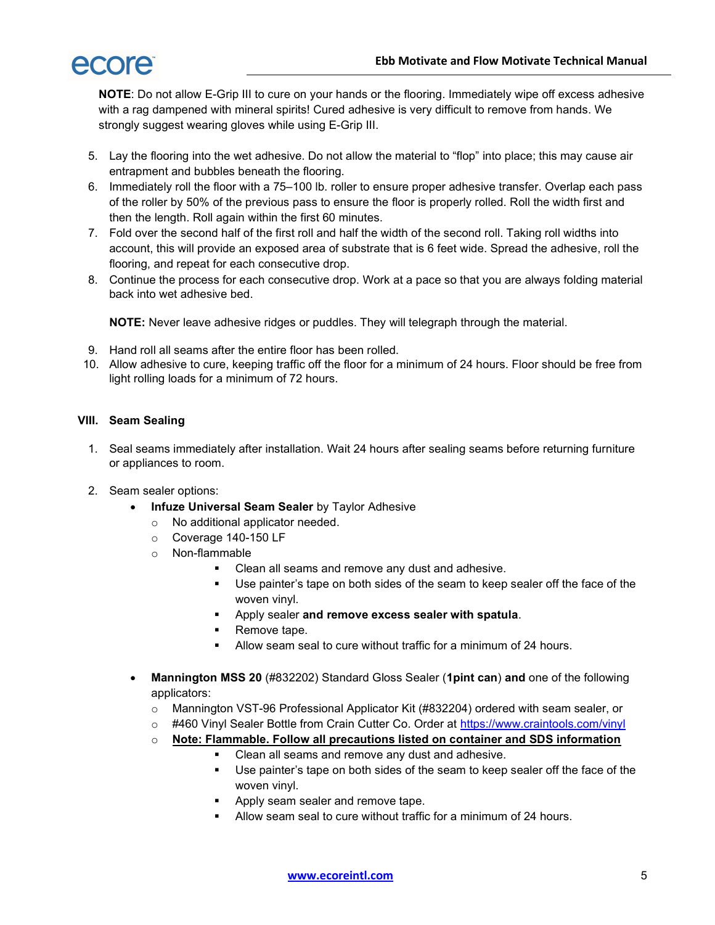

NOTE: Do not allow E-Grip III to cure on your hands or the flooring. Immediately wipe off excess adhesive with a rag dampened with mineral spirits! Cured adhesive is very difficult to remove from hands. We strongly suggest wearing gloves while using E-Grip III.

- 5. Lay the flooring into the wet adhesive. Do not allow the material to "flop" into place; this may cause air entrapment and bubbles beneath the flooring.
- 6. Immediately roll the floor with a 75–100 lb. roller to ensure proper adhesive transfer. Overlap each pass of the roller by 50% of the previous pass to ensure the floor is properly rolled. Roll the width first and then the length. Roll again within the first 60 minutes.
- 7. Fold over the second half of the first roll and half the width of the second roll. Taking roll widths into account, this will provide an exposed area of substrate that is 6 feet wide. Spread the adhesive, roll the flooring, and repeat for each consecutive drop.
- 8. Continue the process for each consecutive drop. Work at a pace so that you are always folding material back into wet adhesive bed.

NOTE: Never leave adhesive ridges or puddles. They will telegraph through the material.

- 9. Hand roll all seams after the entire floor has been rolled.
- 10. Allow adhesive to cure, keeping traffic off the floor for a minimum of 24 hours. Floor should be free from light rolling loads for a minimum of 72 hours.

## VIII. Seam Sealing

- 1. Seal seams immediately after installation. Wait 24 hours after sealing seams before returning furniture or appliances to room.
- 2. Seam sealer options:
	- Infuze Universal Seam Sealer by Taylor Adhesive
		- o No additional applicator needed.
		- o Coverage 140-150 LF
		- o Non-flammable
			- **Clean all seams and remove any dust and adhesive.**
			- Use painter's tape on both sides of the seam to keep sealer off the face of the woven vinyl.
			- Apply sealer and remove excess sealer with spatula.
			- **Remove tape.**
			- Allow seam seal to cure without traffic for a minimum of 24 hours.
	- Mannington MSS 20 (#832202) Standard Gloss Sealer (1pint can) and one of the following applicators:
		- o Mannington VST-96 Professional Applicator Kit (#832204) ordered with seam sealer, or
		- #460 Vinyl Sealer Bottle from Crain Cutter Co. Order at https://www.craintools.com/vinyl
		- $\circ$  Note: Flammable. Follow all precautions listed on container and SDS information
			- Clean all seams and remove any dust and adhesive.
				- Use painter's tape on both sides of the seam to keep sealer off the face of the woven vinyl.
				- **Apply seam sealer and remove tape.**
			- **Allow seam seal to cure without traffic for a minimum of 24 hours.**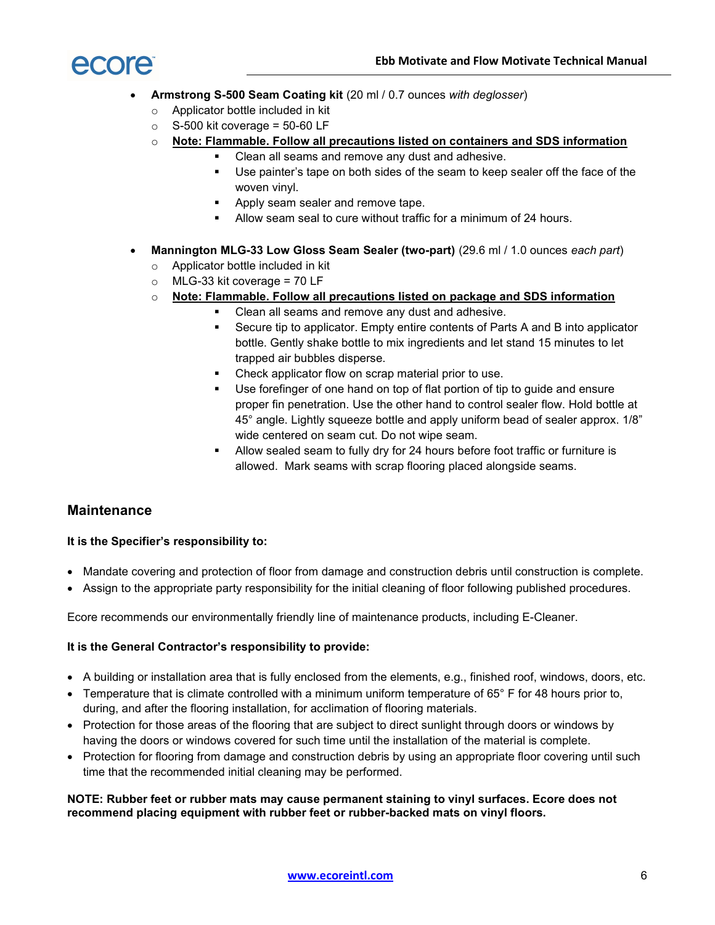

- Armstrong S-500 Seam Coating kit (20 ml / 0.7 ounces with deglosser)
	- o Applicator bottle included in kit
	- $\circ$  S-500 kit coverage = 50-60 LF
	- $\circ$  Note: Flammable. Follow all precautions listed on containers and SDS information
		- **Clean all seams and remove any dust and adhesive.**
		- Use painter's tape on both sides of the seam to keep sealer off the face of the woven vinyl.
		- **Apply seam sealer and remove tape.**
		- **Allow seam seal to cure without traffic for a minimum of 24 hours.**
- Mannington MLG-33 Low Gloss Seam Sealer (two-part) (29.6 ml / 1.0 ounces each part)
	- o Applicator bottle included in kit
	- $\circ$  MLG-33 kit coverage = 70 LF
	- $\circ$  Note: Flammable. Follow all precautions listed on package and SDS information
		- Clean all seams and remove any dust and adhesive.
		- **Secure tip to applicator. Empty entire contents of Parts A and B into applicator** bottle. Gently shake bottle to mix ingredients and let stand 15 minutes to let trapped air bubbles disperse.
		- Check applicator flow on scrap material prior to use.
		- Use forefinger of one hand on top of flat portion of tip to guide and ensure proper fin penetration. Use the other hand to control sealer flow. Hold bottle at 45° angle. Lightly squeeze bottle and apply uniform bead of sealer approx. 1/8" wide centered on seam cut. Do not wipe seam.
		- Allow sealed seam to fully dry for 24 hours before foot traffic or furniture is allowed. Mark seams with scrap flooring placed alongside seams.

## **Maintenance**

## It is the Specifier's responsibility to:

- Mandate covering and protection of floor from damage and construction debris until construction is complete.
- Assign to the appropriate party responsibility for the initial cleaning of floor following published procedures.

Ecore recommends our environmentally friendly line of maintenance products, including E-Cleaner.

## It is the General Contractor's responsibility to provide:

- A building or installation area that is fully enclosed from the elements, e.g., finished roof, windows, doors, etc.
- Temperature that is climate controlled with a minimum uniform temperature of 65° F for 48 hours prior to, during, and after the flooring installation, for acclimation of flooring materials.
- Protection for those areas of the flooring that are subject to direct sunlight through doors or windows by having the doors or windows covered for such time until the installation of the material is complete.
- Protection for flooring from damage and construction debris by using an appropriate floor covering until such time that the recommended initial cleaning may be performed.

### NOTE: Rubber feet or rubber mats may cause permanent staining to vinyl surfaces. Ecore does not recommend placing equipment with rubber feet or rubber-backed mats on vinyl floors.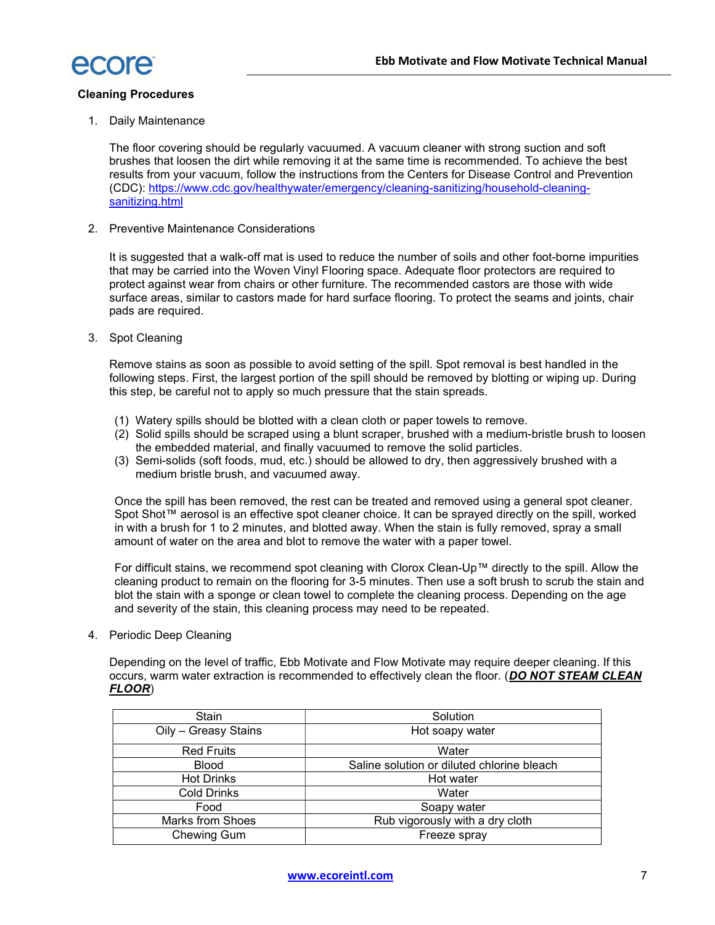

## Cleaning Procedures

1. Daily Maintenance

The floor covering should be regularly vacuumed. A vacuum cleaner with strong suction and soft brushes that loosen the dirt while removing it at the same time is recommended. To achieve the best results from your vacuum, follow the instructions from the Centers for Disease Control and Prevention (CDC): https://www.cdc.gov/healthywater/emergency/cleaning-sanitizing/household-cleaningsanitizing.html

2. Preventive Maintenance Considerations

It is suggested that a walk-off mat is used to reduce the number of soils and other foot-borne impurities that may be carried into the Woven Vinyl Flooring space. Adequate floor protectors are required to protect against wear from chairs or other furniture. The recommended castors are those with wide surface areas, similar to castors made for hard surface flooring. To protect the seams and joints, chair pads are required.

3. Spot Cleaning

Remove stains as soon as possible to avoid setting of the spill. Spot removal is best handled in the following steps. First, the largest portion of the spill should be removed by blotting or wiping up. During this step, be careful not to apply so much pressure that the stain spreads.

- (1) Watery spills should be blotted with a clean cloth or paper towels to remove.
- (2) Solid spills should be scraped using a blunt scraper, brushed with a medium-bristle brush to loosen the embedded material, and finally vacuumed to remove the solid particles.
- (3) Semi-solids (soft foods, mud, etc.) should be allowed to dry, then aggressively brushed with a medium bristle brush, and vacuumed away.

Once the spill has been removed, the rest can be treated and removed using a general spot cleaner. Spot Shot™ aerosol is an effective spot cleaner choice. It can be sprayed directly on the spill, worked in with a brush for 1 to 2 minutes, and blotted away. When the stain is fully removed, spray a small amount of water on the area and blot to remove the water with a paper towel.

For difficult stains, we recommend spot cleaning with Clorox Clean-Up™ directly to the spill. Allow the cleaning product to remain on the flooring for 3-5 minutes. Then use a soft brush to scrub the stain and blot the stain with a sponge or clean towel to complete the cleaning process. Depending on the age and severity of the stain, this cleaning process may need to be repeated.

4. Periodic Deep Cleaning

Depending on the level of traffic, Ebb Motivate and Flow Motivate may require deeper cleaning. If this occurs, warm water extraction is recommended to effectively clean the floor. (DO NOT STEAM CLEAN FLOOR)

| Stain                | Solution                                   |
|----------------------|--------------------------------------------|
| Oily - Greasy Stains | Hot soapy water                            |
| <b>Red Fruits</b>    | Water                                      |
| <b>Blood</b>         | Saline solution or diluted chlorine bleach |
| <b>Hot Drinks</b>    | Hot water                                  |
| <b>Cold Drinks</b>   | Water                                      |
| Food                 | Soapy water                                |
| Marks from Shoes     | Rub vigorously with a dry cloth            |
| Chewing Gum          | Freeze spray                               |